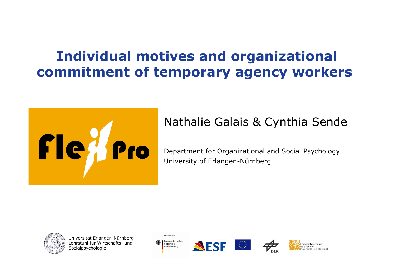## Individual motives and organizational commitment of temporary agency workers



#### Nathalie Galais & Cynthia Sende

Department for Organizational and Social PsychologyUniversity of Erlangen-Nürnberg



Universität Erlangen-NürnbergLehrstuhl für Wirtschafts- und<br>Sozialnsvchologie **Sozialpsychologie** 









Förderschwerpunkt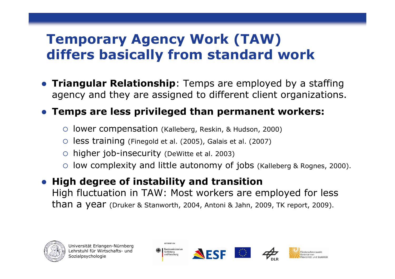## Temporary Agency Work (TAW) differs basically from standard work

**• Triangular Relationship**: Temps are employed by a staffing agency and they are assigned to different client organizations.

### Temps are less privileged than permanent workers:

- lower compensation (Kalleberg, Reskin, & Hudson, 2000)
- $\overline{O}$ less training (Finegold et al. (2005), Galais et al. (2007)
- higher job-insecurity (DeWitte et al. 2003)
- low complexity and little autonomy of jobs (Kalleberg & Rognes, 2000).
- High degree of instability and transition High fluctuation in TAW: Most workers are employed for less than a year (Druker & Stanworth, 2004, Antoni & Jahn, 2009, TK report, 2009).







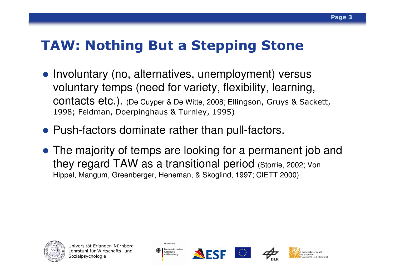### TAW: Nothing But a Stepping Stone

- Involuntary (no, alternatives, unemployment) versus voluntary temps (need for variety, flexibility, learning, contacts etc.). (De Cuyper & De Witte, 2008; Ellingson, Gruys & Sackett, 1998; Feldman, Doerpinghaus & Turnley, 1995)
- Push-factors dominate rather than pull-factors.
- The majority of temps are looking for a permanent job and they regard TAW as a transitional period (Storrie, 2002; Von Hippel, Mangum, Greenberger, Heneman, & Skoglind, 1997; CIETT 2000).



Universität Erlangen-NürnbergLehrstuhl für Wirtschafts- und<br>Sozialnsvchologie Sozialpsychologie



GEFÖRDERT VOL





**Förderschwernunk** Ralance von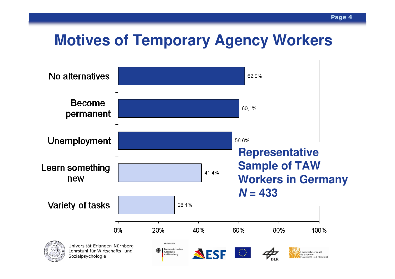## **Motives of Temporary Agency Workers**

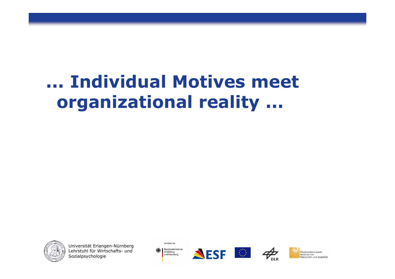# ... Individual Motives meet organizational reality ...



Universität Erlangen-NürnbergLehrstuhl für Wirtschafts- und<br>Sozialnsvchologie Sozialpsychologie









Förderschwernunkt Ralance von Flexibilität und Stabilität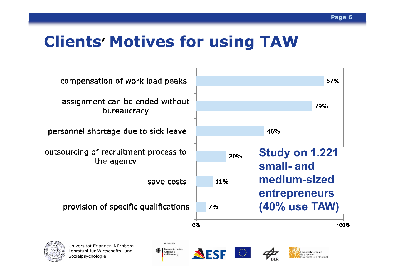## Clients' Motives for using TAW

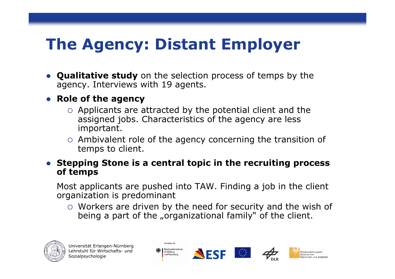## The Agency: Distant Employer

• Qualitative study on the selection process of temps by the agency. Interviews with 19 agents.

#### • Role of the agency

- Applicants are attracted by the potential client and the assigned jobs. Characteristics of the agency are less important.
- o Ambivalent role of the agency concerning the transition of temps to client.
- Stepping Stone is a central topic in the recruiting process of temps

Most applicants are pushed into TAW. Finding a job in the clientorganization is predominant

O Workers are driven by the need for security and the wish of boing a part of the errorizational family." of the client being a part of the "organizational family" of the client.







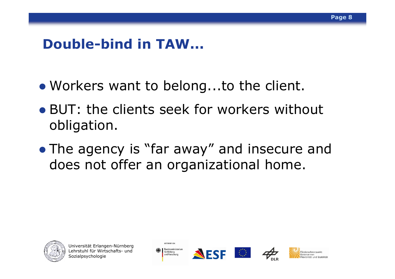### Double-bind in TAW...

- Workers want to belong...to the client.
- BUT: the clients seek for workers without obligation.
- The agency is "far away" and insecure and<br>does not offer an organizational home does not offer an organizational home.



Universität Erlangen-NürnbergLehrstuhl für Wirtschafts- und<br>Sozialnsvchologie Sozialpsychologie



GEFÖRDERT VOM





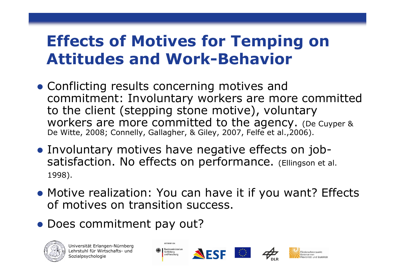## Effects of Motives for Temping on Attitudes and Work-Behavior

- Conflicting results concerning motives and commitment: Involuntary workers are more committed to the client (stepping stone motive), voluntary workers are more committed to the agency. (De Cuyper & De Witte, 2008; Connelly, Gallagher, & Giley, 2007, Felfe et al., 2006).
- Involuntary motives have negative effects on jobsatisfaction. No effects on performance. (Ellingson et al. 1998).
- Motive realization: You can have it if you want? Effects of motives on transition success.
- Does commitment pay out?





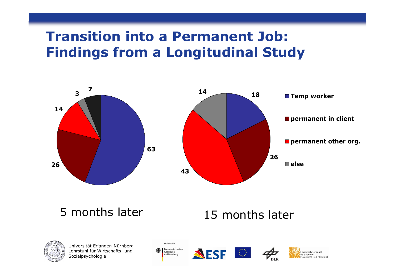### Transition into a Permanent Job: Findings from a Longitudinal Study



5 months later

#### 15 months later



Universität Erlangen-NürnbergLehrstuhl für Wirtschafts- und<br>Sozialnsvchologie Sozialpsychologie

GEFÖRDERT VOM Bundesministerium für Bildung und Forschung





Förderschwernunkt Ralance von

lexibilität und Stabilität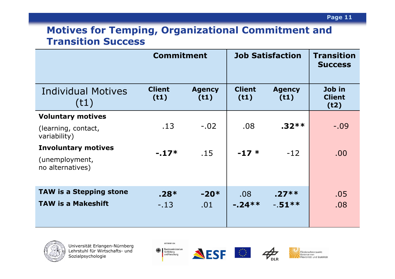#### Motives for Temping, Organizational Commitment and Transition Success

|                                     | <b>Commitment</b>     |                       | <b>Job Satisfaction</b> |                       | <b>Transition</b><br><b>Success</b> |
|-------------------------------------|-----------------------|-----------------------|-------------------------|-----------------------|-------------------------------------|
| Individual Motives<br>(t1)          | <b>Client</b><br>(t1) | <b>Agency</b><br>(t1) | <b>Client</b><br>(t1)   | <b>Agency</b><br>(t1) | Job in<br><b>Client</b><br>(t2)     |
| <b>Voluntary motives</b>            |                       |                       |                         |                       |                                     |
| (learning, contact,<br>variability) | .13                   | $-.02$                | .08                     | $.32**$               | $-.09$                              |
| <b>Involuntary motives</b>          | $-.17*$               | .15                   | $-17*$                  | $-12$                 | .00.                                |
| (unemployment,<br>no alternatives)  |                       |                       |                         |                       |                                     |
| <b>TAW is a Stepping stone</b>      | $.28*$                | $-20*$                | .08                     | $.27***$              | .05                                 |
| <b>TAW is a Makeshift</b>           | $-.13$                | .01                   | $-24**$                 | $-51***$              | .08                                 |



Universität Erlangen-NürnbergLehrstuhl für Wirtschafts- und<br>Sozialnsvchologie Sozialpsychologie







Förderschwerpunkt Balance von<br>Elexibilität und Stabilität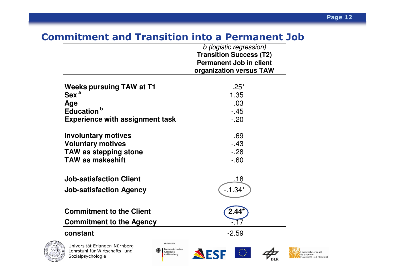#### Commitment and Transition into a Permanent Job

|                                                                                     | b (logistic regression)                                                                     |  |  |
|-------------------------------------------------------------------------------------|---------------------------------------------------------------------------------------------|--|--|
|                                                                                     | <b>Transition Success (T2)</b><br><b>Permanent Job in client</b><br>organization versus TAW |  |  |
|                                                                                     |                                                                                             |  |  |
| <b>Weeks pursuing TAW at T1</b>                                                     | $.25^{+}$                                                                                   |  |  |
| Sex <sup>a</sup>                                                                    | 1.35                                                                                        |  |  |
| Age                                                                                 | .03                                                                                         |  |  |
| Education <sup>b</sup>                                                              | $-45$                                                                                       |  |  |
| <b>Experience with assignment task</b>                                              | $-.20$                                                                                      |  |  |
| <b>Involuntary motives</b>                                                          | .69                                                                                         |  |  |
| <b>Voluntary motives</b>                                                            | $-43$                                                                                       |  |  |
| <b>TAW as stepping stone</b>                                                        | $-.28$                                                                                      |  |  |
| <b>TAW as makeshift</b>                                                             | $-60$                                                                                       |  |  |
| <b>Job-satisfaction Client</b>                                                      | .18                                                                                         |  |  |
| <b>Job-satisfaction Agency</b>                                                      | $-0.34$ <sup>+</sup>                                                                        |  |  |
|                                                                                     |                                                                                             |  |  |
| <b>Commitment to the Client</b>                                                     | 2.44                                                                                        |  |  |
| <b>Commitment to the Agency</b>                                                     |                                                                                             |  |  |
| constant                                                                            | $-2.59$                                                                                     |  |  |
| GEFÖRDERT VOM<br>Universität Erlangen-Nürnberg<br>Bundesministerium                 |                                                                                             |  |  |
| Lehrstuhl für Wirtschafts- und<br>für Bliduna<br>und Forschung<br>Sozialpsychologie |                                                                                             |  |  |
|                                                                                     |                                                                                             |  |  |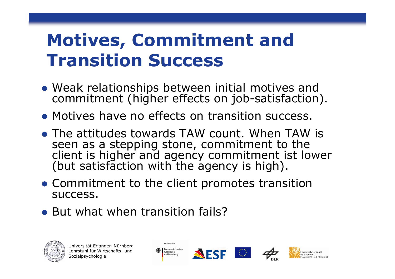# Motives, Commitment and Transition Success

- Weak relationships between initial motives and commitment (higher effects on job-satisfaction).
- Motives have no effects on transition success.
- The attitudes towards TAW count. When TAW is seen as a stepping stone, commitment to the<br>client is higher and agency commitment ist lower<br>(but satisfaction with the agency is high).
- Commitment to the client promotes transition success.
- But what when transition fails?





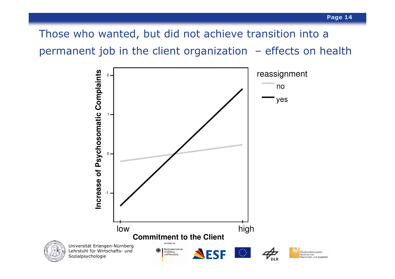Those who wanted, but did not achieve transition into a permanent job in the client organization – effects on health